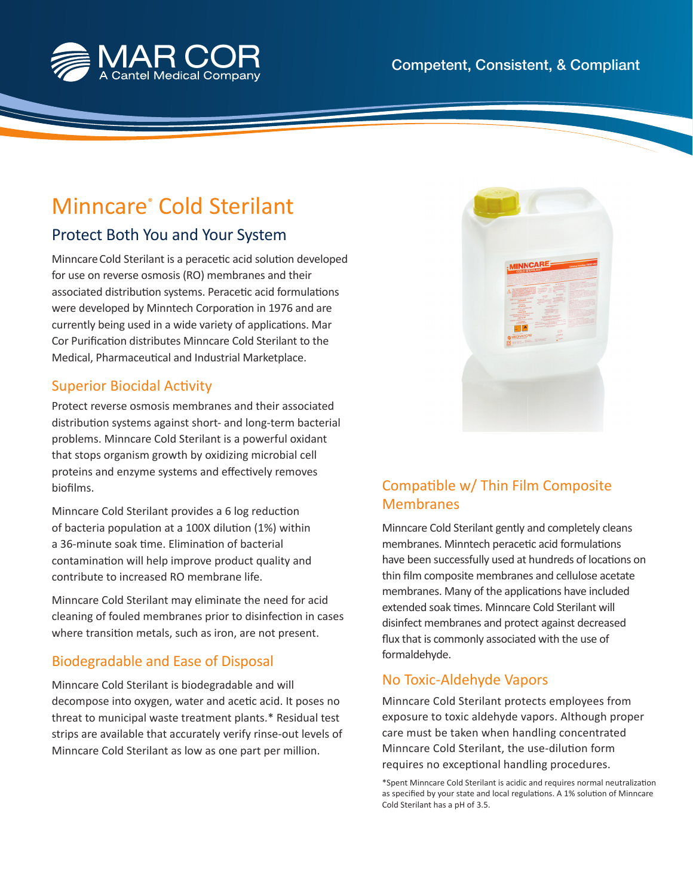

# Minncare® Cold Sterilant

# Protect Both You and Your System

Minncare Cold Sterilant is a peracetic acid solution developed for use on reverse osmosis (RO) membranes and their associated distribution systems. Peracetic acid formulations were developed by Minntech Corporation in 1976 and are currently being used in a wide variety of applications. Mar Cor Purification distributes Minncare Cold Sterilant to the Medical, Pharmaceutical and Industrial Marketplace.

### **Superior Biocidal Activity**

Protect reverse osmosis membranes and their associated distribution systems against short- and long-term bacterial problems. Minncare Cold Sterilant is a powerful oxidant that stops organism growth by oxidizing microbial cell proteins and enzyme systems and effectively removes biofilms.

Minncare Cold Sterilant provides a 6 log reduction of bacteria population at a 100X dilution (1%) within a 36-minute soak time. Elimination of bacterial contamination will help improve product quality and contribute to increased RO membrane life.

Minncare Cold Sterilant may eliminate the need for acid cleaning of fouled membranes prior to disinfection in cases where transition metals, such as iron, are not present.

## Biodegradable and Ease of Disposal

Minncare Cold Sterilant is biodegradable and will decompose into oxygen, water and acetic acid. It poses no threat to municipal waste treatment plants.\* Residual test strips are available that accurately verify rinse-out levels of Minncare Cold Sterilant as low as one part per million.



## Compatible w/ Thin Film Composite Membranes

Minncare Cold Sterilant gently and completely cleans membranes. Minntech peracetic acid formulations have been successfully used at hundreds of locations on thin film composite membranes and cellulose acetate membranes. Many of the applications have included extended soak times. Minncare Cold Sterilant will disinfect membranes and protect against decreased flux that is commonly associated with the use of formaldehyde.

## No Toxic-Aldehyde Vapors

Minncare Cold Sterilant protects employees from exposure to toxic aldehyde vapors. Although proper care must be taken when handling concentrated Minncare Cold Sterilant, the use-dilution form requires no exceptional handling procedures.

\*Spent Minncare Cold Sterilant is acidic and requires normal neutralizati on as specified by your state and local regulations. A 1% solution of Minncare Cold Sterilant has a pH of 3.5.